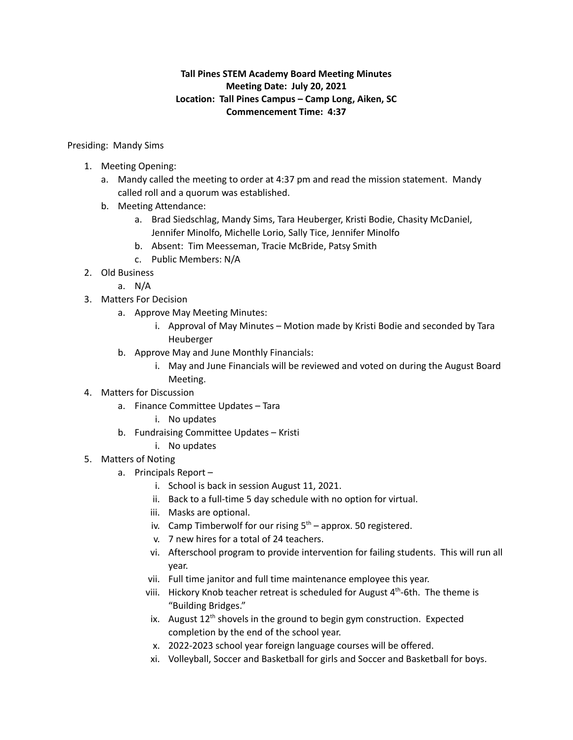## **Tall Pines STEM Academy Board Meeting Minutes Meeting Date: July 20, 2021 Location: Tall Pines Campus – Camp Long, Aiken, SC Commencement Time: 4:37**

## Presiding: Mandy Sims

- 1. Meeting Opening:
	- a. Mandy called the meeting to order at 4:37 pm and read the mission statement. Mandy called roll and a quorum was established.
	- b. Meeting Attendance:
		- a. Brad Siedschlag, Mandy Sims, Tara Heuberger, Kristi Bodie, Chasity McDaniel, Jennifer Minolfo, Michelle Lorio, Sally Tice, Jennifer Minolfo
		- b. Absent: Tim Meesseman, Tracie McBride, Patsy Smith
		- c. Public Members: N/A
- 2. Old Business
	- a. N/A
- 3. Matters For Decision
	- a. Approve May Meeting Minutes:
		- i. Approval of May Minutes Motion made by Kristi Bodie and seconded by Tara Heuberger
	- b. Approve May and June Monthly Financials:
		- i. May and June Financials will be reviewed and voted on during the August Board Meeting.
- 4. Matters for Discussion
	- a. Finance Committee Updates Tara
		- i. No updates
	- b. Fundraising Committee Updates Kristi
		- i. No updates
- 5. Matters of Noting
	- a. Principals Report
		- i. School is back in session August 11, 2021.
		- ii. Back to a full-time 5 day schedule with no option for virtual.
		- iii. Masks are optional.
		- iv. Camp Timberwolf for our rising  $5<sup>th</sup>$  approx. 50 registered.
		- v. 7 new hires for a total of 24 teachers.
		- vi. Afterschool program to provide intervention for failing students. This will run all year.
		- vii. Full time janitor and full time maintenance employee this year.
		- viii. Hickory Knob teacher retreat is scheduled for August 4<sup>th</sup>-6th. The theme is "Building Bridges."
		- ix. August 12<sup>th</sup> shovels in the ground to begin gym construction. Expected completion by the end of the school year.
		- x. 2022-2023 school year foreign language courses will be offered.
		- xi. Volleyball, Soccer and Basketball for girls and Soccer and Basketball for boys.